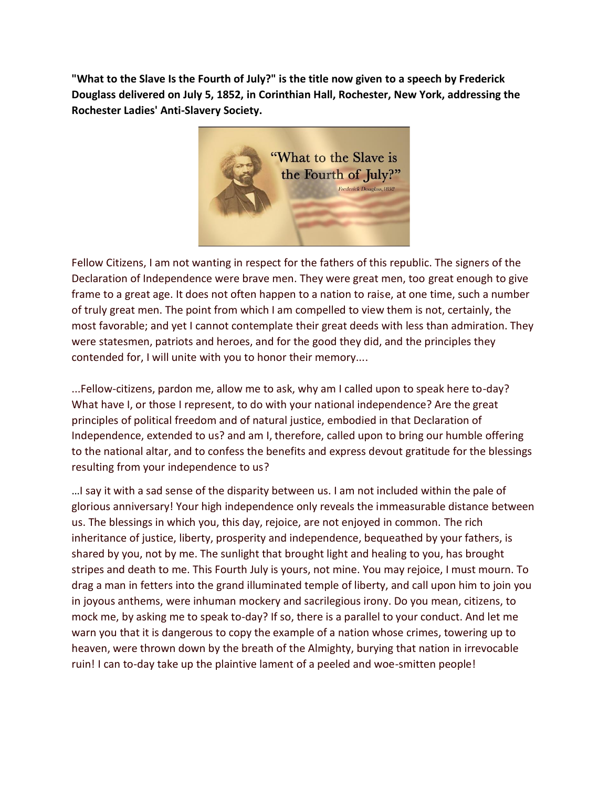**"What to the Slave Is the Fourth of July?" is the title now given to a speech by Frederick Douglass delivered on July 5, 1852, in Corinthian Hall, Rochester, New York, addressing the Rochester Ladies' Anti-Slavery Society.**



Fellow Citizens, I am not wanting in respect for the fathers of this republic. The signers of the Declaration of Independence were brave men. They were great men, too great enough to give frame to a great age. It does not often happen to a nation to raise, at one time, such a number of truly great men. The point from which I am compelled to view them is not, certainly, the most favorable; and yet I cannot contemplate their great deeds with less than admiration. They were statesmen, patriots and heroes, and for the good they did, and the principles they contended for, I will unite with you to honor their memory....

...Fellow-citizens, pardon me, allow me to ask, why am I called upon to speak here to-day? What have I, or those I represent, to do with your national independence? Are the great principles of political freedom and of natural justice, embodied in that Declaration of Independence, extended to us? and am I, therefore, called upon to bring our humble offering to the national altar, and to confess the benefits and express devout gratitude for the blessings resulting from your independence to us?

…I say it with a sad sense of the disparity between us. I am not included within the pale of glorious anniversary! Your high independence only reveals the immeasurable distance between us. The blessings in which you, this day, rejoice, are not enjoyed in common. The rich inheritance of justice, liberty, prosperity and independence, bequeathed by your fathers, is shared by you, not by me. The sunlight that brought light and healing to you, has brought stripes and death to me. This Fourth July is yours, not mine. You may rejoice, I must mourn. To drag a man in fetters into the grand illuminated temple of liberty, and call upon him to join you in joyous anthems, were inhuman mockery and sacrilegious irony. Do you mean, citizens, to mock me, by asking me to speak to-day? If so, there is a parallel to your conduct. And let me warn you that it is dangerous to copy the example of a nation whose crimes, towering up to heaven, were thrown down by the breath of the Almighty, burying that nation in irrevocable ruin! I can to-day take up the plaintive lament of a peeled and woe-smitten people!